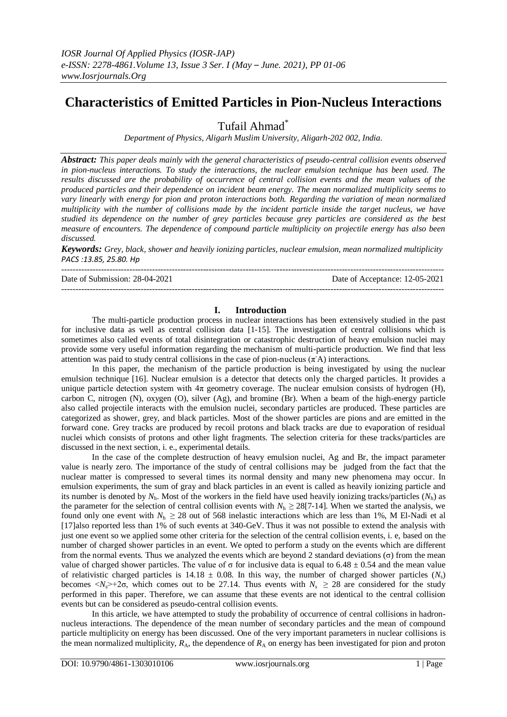# **Characteristics of Emitted Particles in Pion-Nucleus Interactions**

Tufail Ahmad\*

*Department of Physics, Aligarh Muslim University, Aligarh-202 002, India*.

*Abstract: This paper deals mainly with the general characteristics of pseudo-central collision events observed in pion-nucleus interactions. To study the interactions, the nuclear emulsion technique has been used. The results discussed are the probability of occurrence of central collision events and the mean values of the produced particles and their dependence on incident beam energy. The mean normalized multiplicity seems to vary linearly with energy for pion and proton interactions both. Regarding the variation of mean normalized multiplicity with the number of collisions made by the incident particle inside the target nucleus, we have studied its dependence on the number of grey particles because grey particles are considered as the best measure of encounters. The dependence of compound particle multiplicity on projectile energy has also been discussed.*

*Keywords: Grey, black, shower and heavily ionizing particles, nuclear emulsion, mean normalized multiplicity PACS :13.85, 25.80. Hp*

--------------------------------------------------------------------------------------------------------------------------------------- Date of Submission: 28-04-2021 Date of Acceptance: 12-05-2021

## **I. Introduction**

---------------------------------------------------------------------------------------------------------------------------------------

The multi-particle production process in nuclear interactions has been extensively studied in the past for inclusive data as well as central collision data [1-15]. The investigation of central collisions which is sometimes also called events of total disintegration or catastrophic destruction of heavy emulsion nuclei may provide some very useful information regarding the mechanism of multi-particle production. We find that less attention was paid to study central collisions in the case of pion-nucleus  $(\pi A)$  interactions.

In this paper, the mechanism of the particle production is being investigated by using the nuclear emulsion technique [16]. Nuclear emulsion is a detector that detects only the charged particles. It provides a unique particle detection system with  $4\pi$  geometry coverage. The nuclear emulsion consists of hydrogen (H), carbon C, nitrogen (N), oxygen (O), silver (Ag), and bromine (Br). When a beam of the high-energy particle also called projectile interacts with the emulsion nuclei, secondary particles are produced. These particles are categorized as shower, grey, and black particles. Most of the shower particles are pions and are emitted in the forward cone. Grey tracks are produced by recoil protons and black tracks are due to evaporation of residual nuclei which consists of protons and other light fragments. The selection criteria for these tracks/particles are discussed in the next section, i. e., experimental details.

In the case of the complete destruction of heavy emulsion nuclei, Ag and Br, the impact parameter value is nearly zero. The importance of the study of central collisions may be judged from the fact that the nuclear matter is compressed to several times its normal density and many new phenomena may occur. In emulsion experiments, the sum of gray and black particles in an event is called as heavily ionizing particle and its number is denoted by  $N_h$ . Most of the workers in the field have used heavily ionizing tracks/particles  $(N_h)$  as the parameter for the selection of central collision events with  $N_h \ge 28[7-14]$ . When we started the analysis, we found only one event with  $N_h \ge 28$  out of 568 inelastic interactions which are less than 1%, M El-Nadi et al [17]also reported less than 1% of such events at 340-GeV. Thus it was not possible to extend the analysis with just one event so we applied some other criteria for the selection of the central collision events, i. e, based on the number of charged shower particles in an event. We opted to perform a study on the events which are different from the normal events. Thus we analyzed the events which are beyond 2 standard deviations (σ) from the mean value of charged shower particles. The value of σ for inclusive data is equal to  $6.48 \pm 0.54$  and the mean value of relativistic charged particles is  $14.18 \pm 0.08$ . In this way, the number of charged shower particles ( $N_s$ ) becomes  $\langle N_s \rangle$ +2 $\sigma$ , which comes out to be 27.14. Thus events with  $N_s \ge 28$  are considered for the study performed in this paper. Therefore, we can assume that these events are not identical to the central collision events but can be considered as pseudo-central collision events.

In this article, we have attempted to study the probability of occurrence of central collisions in hadronnucleus interactions. The dependence of the mean number of secondary particles and the mean of compound particle multiplicity on energy has been discussed. One of the very important parameters in nuclear collisions is the mean normalized multiplicity,  $R_A$ , the dependence of  $R_A$  on energy has been investigated for pion and proton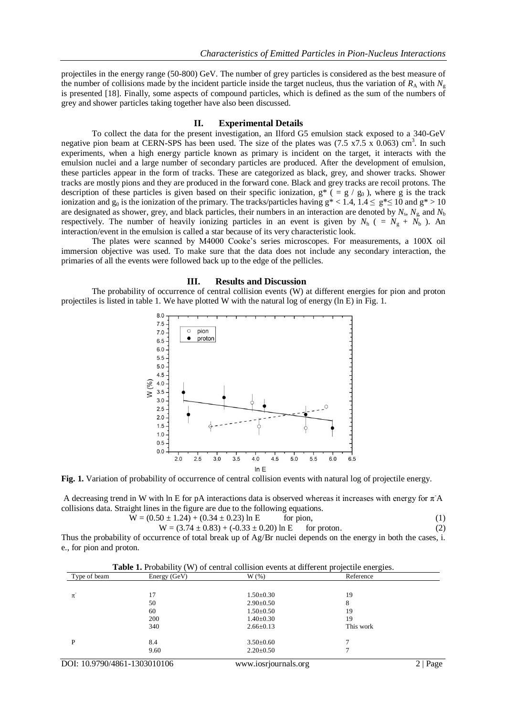projectiles in the energy range (50-800) GeV. The number of grey particles is considered as the best measure of the number of collisions made by the incident particle inside the target nucleus, thus the variation of  $R_A$  with  $N_g$ is presented [18]. Finally, some aspects of compound particles, which is defined as the sum of the numbers of grey and shower particles taking together have also been discussed.

## **II. Experimental Details**

To collect the data for the present investigation, an Ilford G5 emulsion stack exposed to a 340-GeV negative pion beam at CERN-SPS has been used. The size of the plates was  $(7.5 \times 7.5 \times 0.063)$  cm<sup>3</sup>. In such experiments, when a high energy particle known as primary is incident on the target, it interacts with the emulsion nuclei and a large number of secondary particles are produced. After the development of emulsion, these particles appear in the form of tracks. These are categorized as black, grey, and shower tracks. Shower tracks are mostly pions and they are produced in the forward cone. Black and grey tracks are recoil protons. The description of these particles is given based on their specific ionization,  $g^*$  ( = g / g<sub>0</sub>), where g is the track ionization and g<sub>0</sub> is the ionization of the primary. The tracks/particles having  $g^* < 1.4$ ,  $1.4 \le g^* \le 10$  and  $g^* > 10$ are designated as shower, grey, and black particles, their numbers in an interaction are denoted by  $N_s$ ,  $N_g$  and  $N_b$ respectively. The number of heavily ionizing particles in an event is given by  $N_h$  ( =  $N_g + N_b$ ). An interaction/event in the emulsion is called a star because of its very characteristic look.

The plates were scanned by M4000 Cooke's series microscopes. For measurements, a 100X oil immersion objective was used. To make sure that the data does not include any secondary interaction, the primaries of all the events were followed back up to the edge of the pellicles.

#### **III. Results and Discussion**

The probability of occurrence of central collision events (W) at different energies for pion and proton projectiles is listed in table 1. We have plotted W with the natural log of energy (ln E) in Fig. 1.



**Fig. 1.** Variation of probability of occurrence of central collision events with natural log of projectile energy.

A decreasing trend in W with ln E for pA interactions data is observed whereas it increases with energy for  $\pi$ A collisions data. Straight lines in the figure are due to the following equations.<br>W =  $(0.50 \pm 1.24) + (0.34 \pm 0.23)$  ln E for pion,

$$
W = (0.50 \pm 1.24) + (0.34 \pm 0.23) \ln E
$$
 for pion, (1)

$$
W = (3.74 \pm 0.83) + (-0.33 \pm 0.20) \ln E \qquad \text{for proton.} \tag{2}
$$

Thus the probability of occurrence of total break up of Ag/Br nuclei depends on the energy in both the cases, i. e., for pion and proton.

| <b>Table 1.</b> Probability (W) of central collision events at different projectile energies. |              |                      |           |      |  |  |  |
|-----------------------------------------------------------------------------------------------|--------------|----------------------|-----------|------|--|--|--|
| Type of beam                                                                                  | Energy (GeV) | $W(\%)$              | Reference |      |  |  |  |
|                                                                                               |              |                      |           |      |  |  |  |
| $\pi^{-}$                                                                                     | 17           | $1.50 \pm 0.30$      | 19        |      |  |  |  |
|                                                                                               | 50           | $2.90 \pm 0.50$      | 8         |      |  |  |  |
|                                                                                               | 60           | $1.50 \pm 0.50$      | 19        |      |  |  |  |
|                                                                                               | 200          | $1.40 \pm 0.30$      | 19        |      |  |  |  |
|                                                                                               | 340          | $2.66 \pm 0.13$      | This work |      |  |  |  |
| P                                                                                             | 8.4          | $3.50\pm0.60$        |           |      |  |  |  |
|                                                                                               | 9.60         | $2.20 \pm 0.50$      |           |      |  |  |  |
| DOI: 10.9790/4861-1303010106                                                                  |              | www.iosrjournals.org |           | Page |  |  |  |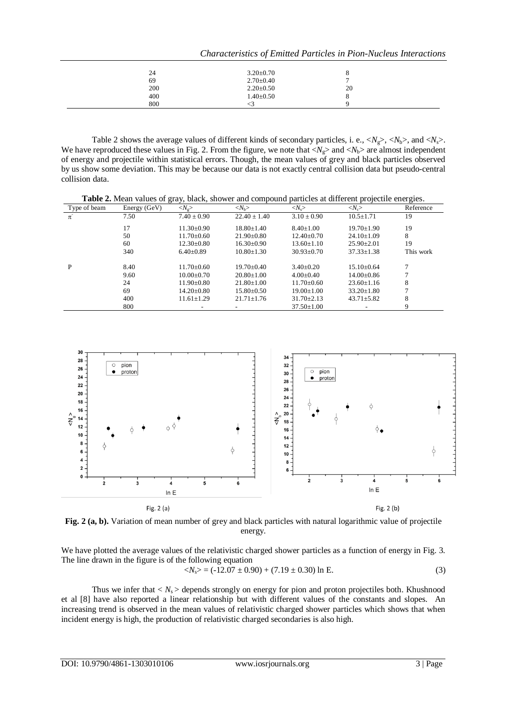|     |                 | Characteristics of Emitted Particles in Pion-Nucleus Interactions |  |  |  |
|-----|-----------------|-------------------------------------------------------------------|--|--|--|
| 24  | $3.20 \pm 0.70$ |                                                                   |  |  |  |
| 69  | $2.70 \pm 0.40$ |                                                                   |  |  |  |
| 200 | $2.20 \pm 0.50$ | 20                                                                |  |  |  |
| 400 | $1.40 \pm 0.50$ |                                                                   |  |  |  |
| 800 |                 |                                                                   |  |  |  |

Table 2 shows the average values of different kinds of secondary particles, i. e.,  $\langle N_g \rangle$ ,  $\langle N_b \rangle$ , and  $\langle N_s \rangle$ . We have reproduced these values in Fig. 2. From the figure, we note that  $\langle N_g \rangle$  and  $\langle N_b \rangle$  are almost independent of energy and projectile within statistical errors. Though, the mean values of grey and black particles observed by us show some deviation. This may be because our data is not exactly central collision data but pseudo-central collision data.

| Table 2. Mean values of gray, black, shower and compound particles at different projectile energies. |              |                             |                             |                         |                       |           |  |
|------------------------------------------------------------------------------------------------------|--------------|-----------------------------|-----------------------------|-------------------------|-----------------------|-----------|--|
| Type of beam                                                                                         | Energy (GeV) | $\langle N_{\rm e} \rangle$ | $\langle N_{\rm b} \rangle$ | $\langle N_{s} \rangle$ | $\langle N_c \rangle$ | Reference |  |
| $\pi$ <sup>-</sup>                                                                                   | 7.50         | $7.40 \pm 0.90$             | $22.40 \pm 1.40$            | $3.10 \pm 0.90$         | $10.5 \pm 1.71$       | 19        |  |
|                                                                                                      | 17           | $11.30 \pm 0.90$            | $18.80 + 1.40$              | $8.40 + 1.00$           | $19.70 \pm 1.90$      | 19        |  |
|                                                                                                      | 50           | $11.70 \pm 0.60$            | $21.90 \pm 0.80$            | $12.40 \pm 0.70$        | $24.10 \pm 1.09$      | 8         |  |
|                                                                                                      | 60           | $12.30 \pm 0.80$            | $16.30\pm0.90$              | $13.60 \pm 1.10$        | $25.90 \pm 2.01$      | 19        |  |
|                                                                                                      | 340          | $6.40\pm0.89$               | $10.80 \pm 1.30$            | $30.93 \pm 0.70$        | $37.33 \pm 1.38$      | This work |  |
| P                                                                                                    | 8.40         | $11.70 + 0.60$              | $19.70+0.40$                | $3.40+0.20$             | $15.10+0.64$          |           |  |
|                                                                                                      | 9.60         | $10.00+0.70$                | $20.80 + 1.00$              | $4.00+0.40$             | $14.00+0.86$          |           |  |
|                                                                                                      | 24           | $11.90 \pm 0.80$            | $21.80 \pm 1.00$            | $11.70 \pm 0.60$        | $23.60 \pm 1.16$      | 8         |  |
|                                                                                                      | 69           | $14.20 \pm 0.80$            | $15.80 \pm 0.50$            | $19.00 \pm 1.00$        | $33.20 \pm 1.80$      |           |  |
|                                                                                                      | 400          | $11.61 \pm 1.29$            | $21.71 \pm 1.76$            | $31.70 \pm 2.13$        | $43.71 \pm 5.82$      | 8         |  |
|                                                                                                      | 800          |                             |                             | $37.50 \pm 1.00$        |                       | 9         |  |



**Fig. 2 (a, b).** Variation of mean number of grey and black particles with natural logarithmic value of projectile energy.

We have plotted the average values of the relativistic charged shower particles as a function of energy in Fig. 3. The line drawn in the figure is of the following equation

 $\langle N_s \rangle = (-12.07 \pm 0.90) + (7.19 \pm 0.30) \ln E.$  (3)

Thus we infer that  $\langle N_s \rangle$  depends strongly on energy for pion and proton projectiles both. Khushnood et al [8] have also reported a linear relationship but with different values of the constants and slopes. An increasing trend is observed in the mean values of relativistic charged shower particles which shows that when incident energy is high, the production of relativistic charged secondaries is also high.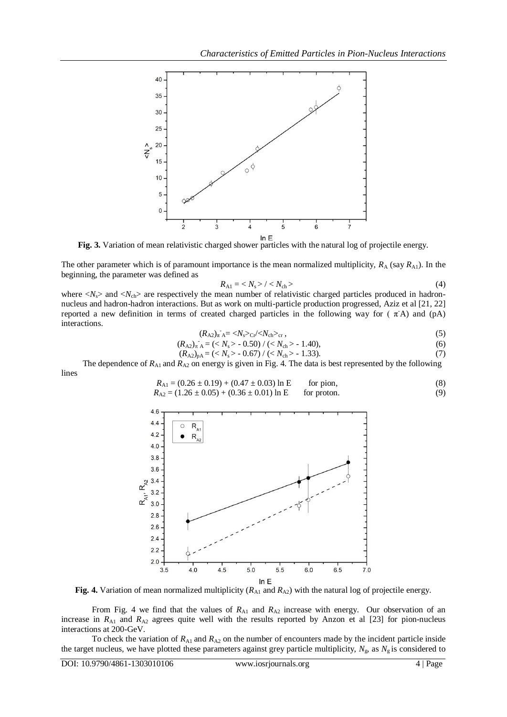

**Fig. 3.** Variation of mean relativistic charged shower particles with the natural log of projectile energy.

The other parameter which is of paramount importance is the mean normalized multiplicity,  $R_A$  (say  $R_{A1}$ ). In the beginning, the parameter was defined as

$$
R_{\rm A1} = \langle N_{\rm s} \rangle / \langle N_{\rm ch} \rangle \tag{4}
$$

where  $\langle N_{\rm s} \rangle$  and  $\langle N_{\rm ch} \rangle$  are respectively the mean number of relativistic charged particles produced in hadronnucleus and hadron-hadron interactions. But as work on multi-particle production progressed, Aziz et al [21, 22] reported a new definition in terms of created charged particles in the following way for ( $\pi$ A) and (pA) interactions.

$$
(R_{A2})_{\pi A} = \langle N_s \rangle_{\text{Cr}} / \langle N_{\text{ch}} \rangle_{\text{cr}},\tag{5}
$$

$$
(R_{A2})_{\pi A} = (\langle N_s \rangle - 0.50) / (\langle N_{ch} \rangle - 1.40),
$$
\n(6)

$$
(R_{A2})_{pA} = (\langle N_s \rangle - 0.67) / (\langle N_{ch} \rangle - 1.33). \tag{7}
$$

The dependence of  $R_{A1}$  and  $R_{A2}$  on energy is given in Fig. 4. The data is best represented by the following lines

$$
R_{\text{A1}} = (0.26 \pm 0.19) + (0.47 \pm 0.03) \ln \text{E} \qquad \text{for pion},
$$
  
\n
$$
R_{\text{A2}} = (1.26 \pm 0.05) + (0.36 \pm 0.01) \ln \text{E} \qquad \text{for proton}. \tag{9}
$$



**Fig. 4.** Variation of mean normalized multiplicity  $(R_{A1}$  and  $R_{A2})$  with the natural log of projectile energy.

From Fig. 4 we find that the values of  $R_{A1}$  and  $R_{A2}$  increase with energy. Our observation of an increase in  $R_{A1}$  and  $R_{A2}$  agrees quite well with the results reported by Anzon et al [23] for pion-nucleus interactions at 200-GeV.

To check the variation of  $R_{A1}$  and  $R_{A2}$  on the number of encounters made by the incident particle inside the target nucleus, we have plotted these parameters against grey particle multiplicity,  $N_g$ , as  $N_g$  is considered to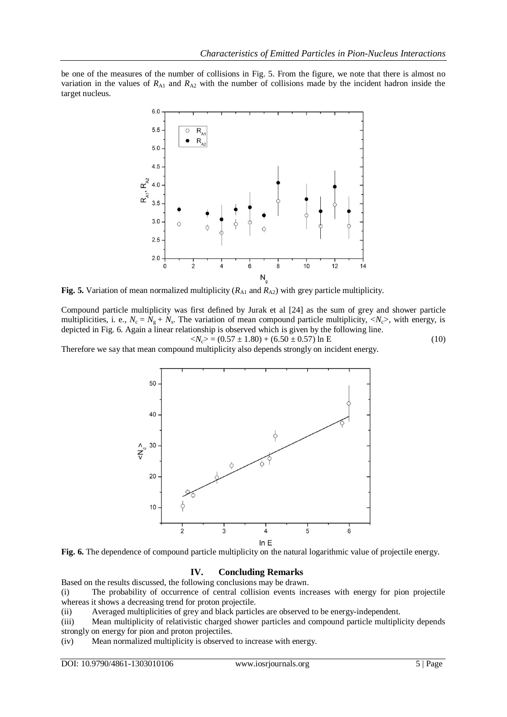be one of the measures of the number of collisions in Fig. 5. From the figure, we note that there is almost no variation in the values of  $R_{\text{Al}}$  and  $R_{\text{Al}}$  with the number of collisions made by the incident hadron inside the target nucleus.



**Fig. 5.** Variation of mean normalized multiplicity ( $R_{A1}$  and  $R_{A2}$ ) with grey particle multiplicity.

Compound particle multiplicity was first defined by Jurak et al [24] as the sum of grey and shower particle multiplicities, i. e.,  $N_c = N_g + N_s$ . The variation of mean compound particle multiplicity,  $\langle N_c \rangle$ , with energy, is depicted in Fig. 6. Again a linear relationship is observed which is given by the following line.

$$
\langle N_c \rangle = (0.57 \pm 1.80) + (6.50 \pm 0.57) \ln E \tag{10}
$$

Therefore we say that mean compound multiplicity also depends strongly on incident energy.





## **IV. Concluding Remarks**

Based on the results discussed, the following conclusions may be drawn.

(i) The probability of occurrence of central collision events increases with energy for pion projectile whereas it shows a decreasing trend for proton projectile.

(ii) Averaged multiplicities of grey and black particles are observed to be energy-independent.

(iii) Mean multiplicity of relativistic charged shower particles and compound particle multiplicity depends strongly on energy for pion and proton projectiles.

(iv) Mean normalized multiplicity is observed to increase with energy.